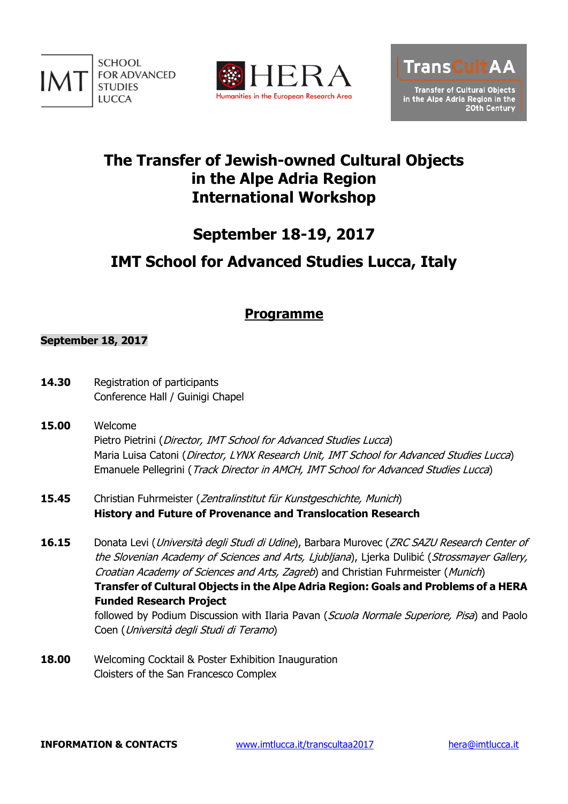





# **The Transfer of Jewish-owned Cultural Objects in the Alpe Adria Region International Workshop**

# **September 18-19, 2017**

# **IMT School for Advanced Studies Lucca, Italy**

## **Programme**

### **September 18, 2017**

- 14.30 Registration of participants Conference Hall / Guinigi Chapel
- **15.00** Welcome Pietro Pietrini (Director, IMT School for Advanced Studies Lucca) Maria Luisa Catoni (Director, LYNX Research Unit, IMT School for Advanced Studies Lucca) Emanuele Pellegrini (Track Director in AMCH, IMT School for Advanced Studies Lucca)
- 15.45 Christian Fuhrmeister (Zentralinstitut für Kunstgeschichte, Munich) **History and Future of Provenance and Translocation Research**
- 16.15 Donata Levi (*Università degli Studi di Udine*), Barbara Murovec (*ZRC SAZU Research Center of* the Slovenian Academy of Sciences and Arts, Ljubljana), Ljerka Dulibić (Strossmayer Gallery, Croatian Academy of Sciences and Arts, Zagreb) and Christian Fuhrmeister (Munich) **Transfer of Cultural Objects in the Alpe Adria Region: Goals and Problems of a HERA Funded Research Project** followed by Podium Discussion with Ilaria Pavan (Scuola Normale Superiore, Pisa) and Paolo Coen (Università degli Studi di Teramo)
- **18.00** Welcoming Cocktail & Poster Exhibition Inauguration Cloisters of the San Francesco Complex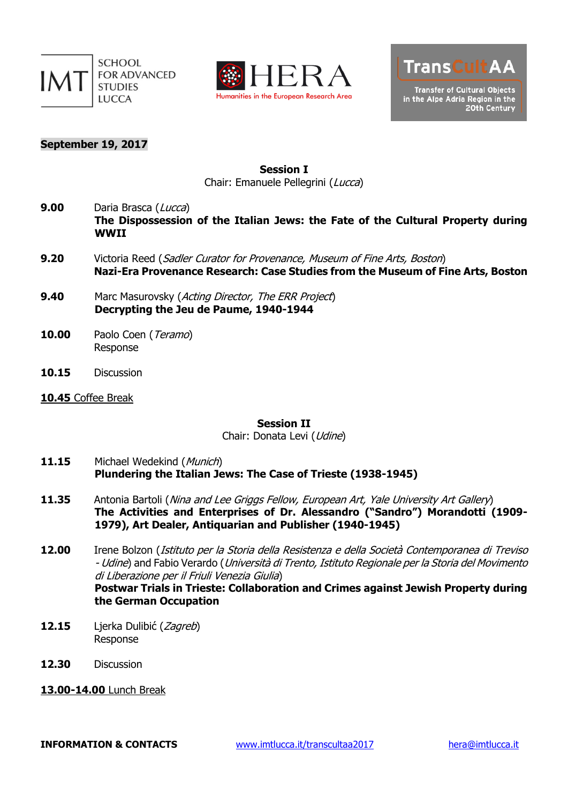





### **September 19, 2017**

**Session I** Chair: Emanuele Pellegrini (Lucca)

9.00 Daria Brasca (Lucca) **The Dispossession of the Italian Jews: the Fate of the Cultural Property during WWII**

- **9.20** Victoria Reed (Sadler Curator for Provenance, Museum of Fine Arts, Boston) **Nazi-Era Provenance Research: Case Studies from the Museum of Fine Arts, Boston**
- **9.40** Marc Masurovsky (Acting Director, The ERR Project) **Decrypting the Jeu de Paume, 1940-1944**
- **10.00** Paolo Coen (Teramo) Response
- **10.15** Discussion
- **10.45** Coffee Break

**Session II**

Chair: Donata Levi (Udine)

- 11.15 Michael Wedekind (Munich) **Plundering the Italian Jews: The Case of Trieste (1938-1945)**
- 11.35 Antonia Bartoli (Nina and Lee Griggs Fellow, European Art, Yale University Art Gallery) **The Activities and Enterprises of Dr. Alessandro ("Sandro") Morandotti (1909- 1979), Art Dealer, Antiquarian and Publisher (1940-1945)**
- **12.00** Irene Bolzon (Istituto per la Storia della Resistenza <sup>e</sup> della Società Contemporanea di Treviso - Udine) and Fabio Verardo (Università di Trento, Istituto Regionale per la Storia del Movimento di Liberazione per il Friuli Venezia Giulia)

**Postwar Trials in Trieste: Collaboration and Crimes against Jewish Property during the German Occupation**

- **12.15** Ljerka Dulibić (Zagreb) Response
- **12.30** Discussion
- **13.00-14.00** Lunch Break